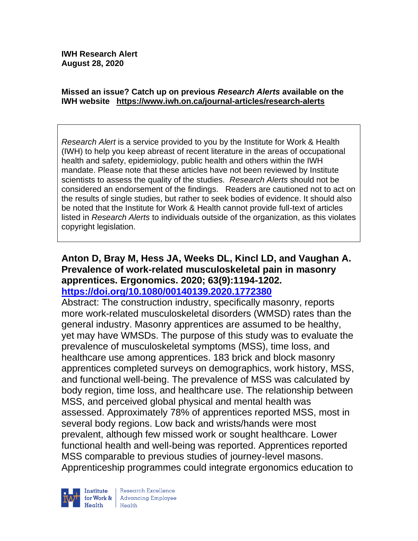#### **Missed an issue? Catch up on previous** *Research Alerts* **available on the [IWH website](http://www.iwh.on.ca/research-alerts) <https://www.iwh.on.ca/journal-articles/research-alerts>**

*Research Alert* is a service provided to you by the Institute for Work & Health (IWH) to help you keep abreast of recent literature in the areas of occupational health and safety, epidemiology, public health and others within the IWH mandate. Please note that these articles have not been reviewed by Institute scientists to assess the quality of the studies. *Research Alerts* should not be considered an endorsement of the findings. Readers are cautioned not to act on the results of single studies, but rather to seek bodies of evidence. It should also be noted that the Institute for Work & Health cannot provide full-text of articles listed in *Research Alerts* to individuals outside of the organization, as this violates copyright legislation.

#### **Anton D, Bray M, Hess JA, Weeks DL, Kincl LD, and Vaughan A. Prevalence of work-related musculoskeletal pain in masonry apprentices. Ergonomics. 2020; 63(9):1194-1202. <https://doi.org/10.1080/00140139.2020.1772380>**

Abstract: The construction industry, specifically masonry, reports more work-related musculoskeletal disorders (WMSD) rates than the general industry. Masonry apprentices are assumed to be healthy, yet may have WMSDs. The purpose of this study was to evaluate the prevalence of musculoskeletal symptoms (MSS), time loss, and healthcare use among apprentices. 183 brick and block masonry apprentices completed surveys on demographics, work history, MSS, and functional well-being. The prevalence of MSS was calculated by body region, time loss, and healthcare use. The relationship between MSS, and perceived global physical and mental health was assessed. Approximately 78% of apprentices reported MSS, most in several body regions. Low back and wrists/hands were most prevalent, although few missed work or sought healthcare. Lower functional health and well-being was reported. Apprentices reported MSS comparable to previous studies of journey-level masons. Apprenticeship programmes could integrate ergonomics education to

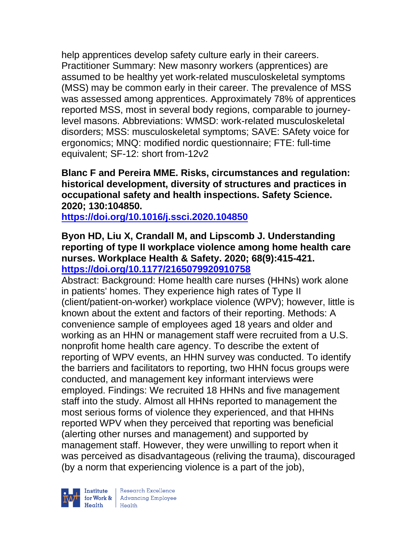help apprentices develop safety culture early in their careers. Practitioner Summary: New masonry workers (apprentices) are assumed to be healthy yet work-related musculoskeletal symptoms (MSS) may be common early in their career. The prevalence of MSS was assessed among apprentices. Approximately 78% of apprentices reported MSS, most in several body regions, comparable to journeylevel masons. Abbreviations: WMSD: work-related musculoskeletal disorders; MSS: musculoskeletal symptoms; SAVE: SAfety voice for ergonomics; MNQ: modified nordic questionnaire; FTE: full-time equivalent; SF-12: short from-12v2

#### **Blanc F and Pereira MME. Risks, circumstances and regulation: historical development, diversity of structures and practices in occupational safety and health inspections. Safety Science. 2020; 130:104850.**

**<https://doi.org/10.1016/j.ssci.2020.104850>** 

## **Byon HD, Liu X, Crandall M, and Lipscomb J. Understanding reporting of type II workplace violence among home health care nurses. Workplace Health & Safety. 2020; 68(9):415-421. <https://doi.org/10.1177/2165079920910758>**

Abstract: Background: Home health care nurses (HHNs) work alone in patients' homes. They experience high rates of Type II (client/patient-on-worker) workplace violence (WPV); however, little is known about the extent and factors of their reporting. Methods: A convenience sample of employees aged 18 years and older and working as an HHN or management staff were recruited from a U.S. nonprofit home health care agency. To describe the extent of reporting of WPV events, an HHN survey was conducted. To identify the barriers and facilitators to reporting, two HHN focus groups were conducted, and management key informant interviews were employed. Findings: We recruited 18 HHNs and five management staff into the study. Almost all HHNs reported to management the most serious forms of violence they experienced, and that HHNs reported WPV when they perceived that reporting was beneficial (alerting other nurses and management) and supported by management staff. However, they were unwilling to report when it was perceived as disadvantageous (reliving the trauma), discouraged (by a norm that experiencing violence is a part of the job),

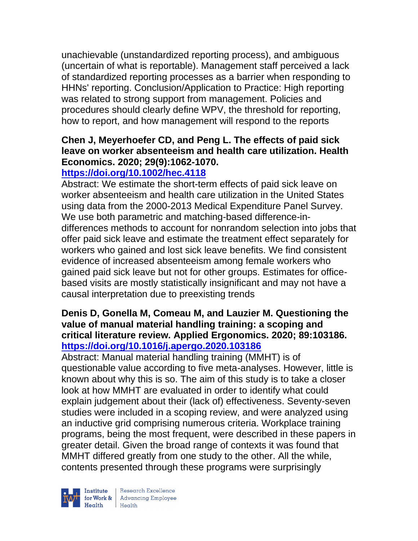unachievable (unstandardized reporting process), and ambiguous (uncertain of what is reportable). Management staff perceived a lack of standardized reporting processes as a barrier when responding to HHNs' reporting. Conclusion/Application to Practice: High reporting was related to strong support from management. Policies and procedures should clearly define WPV, the threshold for reporting, how to report, and how management will respond to the reports

## **Chen J, Meyerhoefer CD, and Peng L. The effects of paid sick leave on worker absenteeism and health care utilization. Health Economics. 2020; 29(9):1062-1070.**

# **<https://doi.org/10.1002/hec.4118>**

Abstract: We estimate the short-term effects of paid sick leave on worker absenteeism and health care utilization in the United States using data from the 2000-2013 Medical Expenditure Panel Survey. We use both parametric and matching-based difference-indifferences methods to account for nonrandom selection into jobs that offer paid sick leave and estimate the treatment effect separately for workers who gained and lost sick leave benefits. We find consistent evidence of increased absenteeism among female workers who gained paid sick leave but not for other groups. Estimates for officebased visits are mostly statistically insignificant and may not have a causal interpretation due to preexisting trends

#### **Denis D, Gonella M, Comeau M, and Lauzier M. Questioning the value of manual material handling training: a scoping and critical literature review. Applied Ergonomics. 2020; 89:103186. <https://doi.org/10.1016/j.apergo.2020.103186>**

Abstract: Manual material handling training (MMHT) is of questionable value according to five meta-analyses. However, little is known about why this is so. The aim of this study is to take a closer look at how MMHT are evaluated in order to identify what could explain judgement about their (lack of) effectiveness. Seventy-seven studies were included in a scoping review, and were analyzed using an inductive grid comprising numerous criteria. Workplace training programs, being the most frequent, were described in these papers in greater detail. Given the broad range of contexts it was found that MMHT differed greatly from one study to the other. All the while, contents presented through these programs were surprisingly



| Research Excellence for Work & Advancing Employee<br>Health Health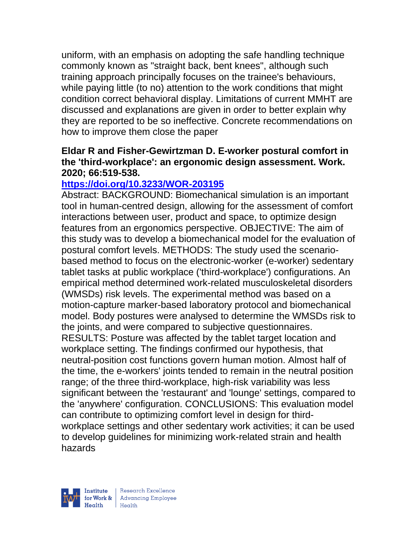uniform, with an emphasis on adopting the safe handling technique commonly known as "straight back, bent knees", although such training approach principally focuses on the trainee's behaviours, while paying little (to no) attention to the work conditions that might condition correct behavioral display. Limitations of current MMHT are discussed and explanations are given in order to better explain why they are reported to be so ineffective. Concrete recommendations on how to improve them close the paper

## **Eldar R and Fisher-Gewirtzman D. E-worker postural comfort in the 'third-workplace': an ergonomic design assessment. Work. 2020; 66:519-538.**

#### **<https://doi.org/10.3233/WOR-203195>**

Abstract: BACKGROUND: Biomechanical simulation is an important tool in human-centred design, allowing for the assessment of comfort interactions between user, product and space, to optimize design features from an ergonomics perspective. OBJECTIVE: The aim of this study was to develop a biomechanical model for the evaluation of postural comfort levels. METHODS: The study used the scenariobased method to focus on the electronic-worker (e-worker) sedentary tablet tasks at public workplace ('third-workplace') configurations. An empirical method determined work-related musculoskeletal disorders (WMSDs) risk levels. The experimental method was based on a motion-capture marker-based laboratory protocol and biomechanical model. Body postures were analysed to determine the WMSDs risk to the joints, and were compared to subjective questionnaires. RESULTS: Posture was affected by the tablet target location and workplace setting. The findings confirmed our hypothesis, that neutral-position cost functions govern human motion. Almost half of the time, the e-workers' joints tended to remain in the neutral position range; of the three third-workplace, high-risk variability was less significant between the 'restaurant' and 'lounge' settings, compared to the 'anywhere' configuration. CONCLUSIONS: This evaluation model can contribute to optimizing comfort level in design for thirdworkplace settings and other sedentary work activities; it can be used to develop guidelines for minimizing work-related strain and health hazards

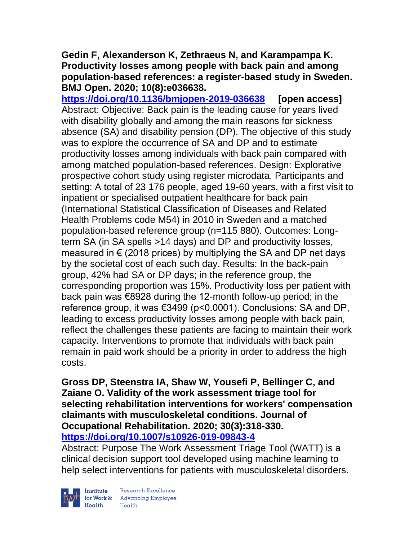#### **Gedin F, Alexanderson K, Zethraeus N, and Karampampa K. Productivity losses among people with back pain and among population-based references: a register-based study in Sweden. BMJ Open. 2020; 10(8):e036638.**

**<https://doi.org/10.1136/bmjopen-2019-036638> [open access]** Abstract: Objective: Back pain is the leading cause for years lived with disability globally and among the main reasons for sickness absence (SA) and disability pension (DP). The objective of this study was to explore the occurrence of SA and DP and to estimate productivity losses among individuals with back pain compared with among matched population-based references. Design: Explorative prospective cohort study using register microdata. Participants and setting: A total of 23 176 people, aged 19-60 years, with a first visit to inpatient or specialised outpatient healthcare for back pain (International Statistical Classification of Diseases and Related Health Problems code M54) in 2010 in Sweden and a matched population-based reference group (n=115 880). Outcomes: Longterm SA (in SA spells >14 days) and DP and productivity losses, measured in  $\epsilon$  (2018 prices) by multiplying the SA and DP net days by the societal cost of each such day. Results: In the back-pain group, 42% had SA or DP days; in the reference group, the corresponding proportion was 15%. Productivity loss per patient with back pain was €8928 during the 12-month follow-up period; in the reference group, it was €3499 (p<0.0001). Conclusions: SA and DP, leading to excess productivity losses among people with back pain, reflect the challenges these patients are facing to maintain their work capacity. Interventions to promote that individuals with back pain remain in paid work should be a priority in order to address the high costs.

**Gross DP, Steenstra IA, Shaw W, Yousefi P, Bellinger C, and Zaiane O. Validity of the work assessment triage tool for selecting rehabilitation interventions for workers' compensation claimants with musculoskeletal conditions. Journal of Occupational Rehabilitation. 2020; 30(3):318-330. <https://doi.org/10.1007/s10926-019-09843-4>** 

Abstract: Purpose The Work Assessment Triage Tool (WATT) is a clinical decision support tool developed using machine learning to help select interventions for patients with musculoskeletal disorders.



 $\begin{tabular}{|l|} Institute & Research Excellence \\ \hline for Work & Advancing Employee \\ Health & Health \\ \end{tabular}$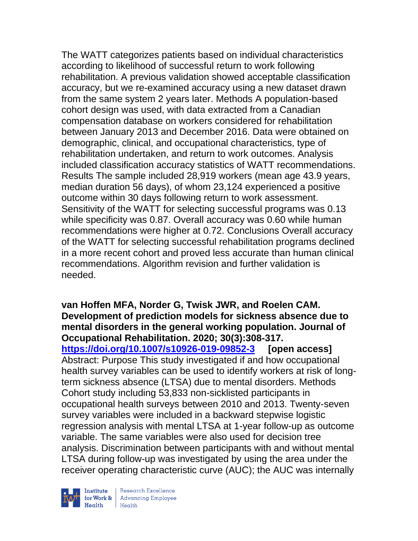The WATT categorizes patients based on individual characteristics according to likelihood of successful return to work following rehabilitation. A previous validation showed acceptable classification accuracy, but we re-examined accuracy using a new dataset drawn from the same system 2 years later. Methods A population-based cohort design was used, with data extracted from a Canadian compensation database on workers considered for rehabilitation between January 2013 and December 2016. Data were obtained on demographic, clinical, and occupational characteristics, type of rehabilitation undertaken, and return to work outcomes. Analysis included classification accuracy statistics of WATT recommendations. Results The sample included 28,919 workers (mean age 43.9 years, median duration 56 days), of whom 23,124 experienced a positive outcome within 30 days following return to work assessment. Sensitivity of the WATT for selecting successful programs was 0.13 while specificity was 0.87. Overall accuracy was 0.60 while human recommendations were higher at 0.72. Conclusions Overall accuracy of the WATT for selecting successful rehabilitation programs declined in a more recent cohort and proved less accurate than human clinical recommendations. Algorithm revision and further validation is needed.

**van Hoffen MFA, Norder G, Twisk JWR, and Roelen CAM. Development of prediction models for sickness absence due to mental disorders in the general working population. Journal of Occupational Rehabilitation. 2020; 30(3):308-317. <https://doi.org/10.1007/s10926-019-09852-3> [open access]** Abstract: Purpose This study investigated if and how occupational health survey variables can be used to identify workers at risk of longterm sickness absence (LTSA) due to mental disorders. Methods Cohort study including 53,833 non-sicklisted participants in occupational health surveys between 2010 and 2013. Twenty-seven survey variables were included in a backward stepwise logistic regression analysis with mental LTSA at 1-year follow-up as outcome variable. The same variables were also used for decision tree analysis. Discrimination between participants with and without mental LTSA during follow-up was investigated by using the area under the receiver operating characteristic curve (AUC); the AUC was internally



| Research Excellence for Work & Advancing Employee<br>Health Health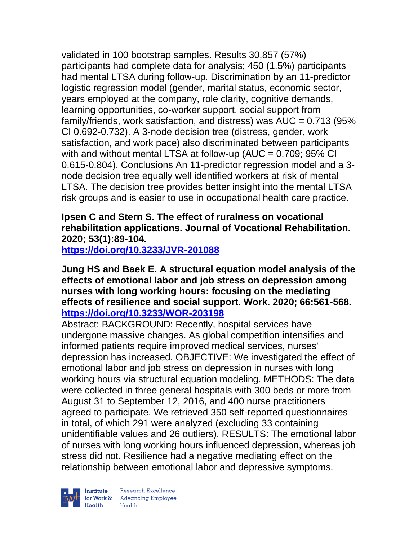validated in 100 bootstrap samples. Results 30,857 (57%) participants had complete data for analysis; 450 (1.5%) participants had mental LTSA during follow-up. Discrimination by an 11-predictor logistic regression model (gender, marital status, economic sector, years employed at the company, role clarity, cognitive demands, learning opportunities, co-worker support, social support from family/friends, work satisfaction, and distress) was  $AUC = 0.713$  (95%) CI 0.692-0.732). A 3-node decision tree (distress, gender, work satisfaction, and work pace) also discriminated between participants with and without mental LTSA at follow-up (AUC  $= 0.709$ ; 95% CI 0.615-0.804). Conclusions An 11-predictor regression model and a 3 node decision tree equally well identified workers at risk of mental LTSA. The decision tree provides better insight into the mental LTSA risk groups and is easier to use in occupational health care practice.

**Ipsen C and Stern S. The effect of ruralness on vocational rehabilitation applications. Journal of Vocational Rehabilitation. 2020; 53(1):89-104.** 

**<https://doi.org/10.3233/JVR-201088>** 

**Jung HS and Baek E. A structural equation model analysis of the effects of emotional labor and job stress on depression among nurses with long working hours: focusing on the mediating effects of resilience and social support. Work. 2020; 66:561-568. <https://doi.org/10.3233/WOR-203198>** 

Abstract: BACKGROUND: Recently, hospital services have undergone massive changes. As global competition intensifies and informed patients require improved medical services, nurses' depression has increased. OBJECTIVE: We investigated the effect of emotional labor and job stress on depression in nurses with long working hours via structural equation modeling. METHODS: The data were collected in three general hospitals with 300 beds or more from August 31 to September 12, 2016, and 400 nurse practitioners agreed to participate. We retrieved 350 self-reported questionnaires in total, of which 291 were analyzed (excluding 33 containing unidentifiable values and 26 outliers). RESULTS: The emotional labor of nurses with long working hours influenced depression, whereas job stress did not. Resilience had a negative mediating effect on the relationship between emotional labor and depressive symptoms.

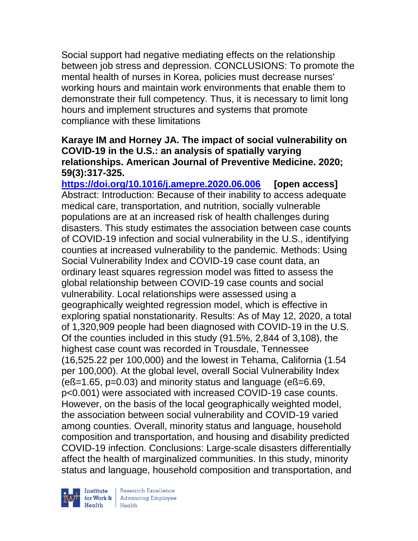Social support had negative mediating effects on the relationship between job stress and depression. CONCLUSIONS: To promote the mental health of nurses in Korea, policies must decrease nurses' working hours and maintain work environments that enable them to demonstrate their full competency. Thus, it is necessary to limit long hours and implement structures and systems that promote compliance with these limitations

#### **Karaye IM and Horney JA. The impact of social vulnerability on COVID-19 in the U.S.: an analysis of spatially varying relationships. American Journal of Preventive Medicine. 2020; 59(3):317-325.**

**<https://doi.org/10.1016/j.amepre.2020.06.006> [open access]** Abstract: Introduction: Because of their inability to access adequate medical care, transportation, and nutrition, socially vulnerable populations are at an increased risk of health challenges during disasters. This study estimates the association between case counts of COVID-19 infection and social vulnerability in the U.S., identifying counties at increased vulnerability to the pandemic. Methods: Using Social Vulnerability Index and COVID-19 case count data, an ordinary least squares regression model was fitted to assess the global relationship between COVID-19 case counts and social vulnerability. Local relationships were assessed using a geographically weighted regression model, which is effective in exploring spatial nonstationarity. Results: As of May 12, 2020, a total of 1,320,909 people had been diagnosed with COVID-19 in the U.S. Of the counties included in this study (91.5%, 2,844 of 3,108), the highest case count was recorded in Trousdale, Tennessee (16,525.22 per 100,000) and the lowest in Tehama, California (1.54 per 100,000). At the global level, overall Social Vulnerability Index (eß=1.65, p=0.03) and minority status and language (eß=6.69, p<0.001) were associated with increased COVID-19 case counts. However, on the basis of the local geographically weighted model, the association between social vulnerability and COVID-19 varied among counties. Overall, minority status and language, household composition and transportation, and housing and disability predicted COVID-19 infection. Conclusions: Large-scale disasters differentially affect the health of marginalized communities. In this study, minority status and language, household composition and transportation, and



 $\begin{tabular}{|l|} Institute & Research Excellence \\ \hline for Work & Advancing Employee \\ Health & Health \\ \end{tabular}$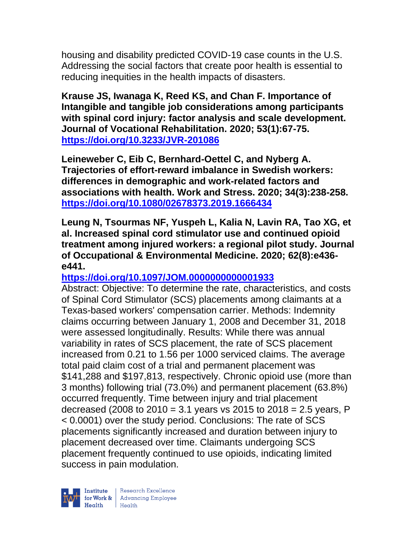housing and disability predicted COVID-19 case counts in the U.S. Addressing the social factors that create poor health is essential to reducing inequities in the health impacts of disasters.

**Krause JS, Iwanaga K, Reed KS, and Chan F. Importance of Intangible and tangible job considerations among participants with spinal cord injury: factor analysis and scale development. Journal of Vocational Rehabilitation. 2020; 53(1):67-75. <https://doi.org/10.3233/JVR-201086>** 

**Leineweber C, Eib C, Bernhard-Oettel C, and Nyberg A. Trajectories of effort-reward imbalance in Swedish workers: differences in demographic and work-related factors and associations with health. Work and Stress. 2020; 34(3):238-258. <https://doi.org/10.1080/02678373.2019.1666434>** 

**Leung N, Tsourmas NF, Yuspeh L, Kalia N, Lavin RA, Tao XG, et al. Increased spinal cord stimulator use and continued opioid treatment among injured workers: a regional pilot study. Journal of Occupational & Environmental Medicine. 2020; 62(8):e436 e441.** 

## **<https://doi.org/10.1097/JOM.0000000000001933>**

Abstract: Objective: To determine the rate, characteristics, and costs of Spinal Cord Stimulator (SCS) placements among claimants at a Texas-based workers' compensation carrier. Methods: Indemnity claims occurring between January 1, 2008 and December 31, 2018 were assessed longitudinally. Results: While there was annual variability in rates of SCS placement, the rate of SCS placement increased from 0.21 to 1.56 per 1000 serviced claims. The average total paid claim cost of a trial and permanent placement was \$141,288 and \$197,813, respectively. Chronic opioid use (more than 3 months) following trial (73.0%) and permanent placement (63.8%) occurred frequently. Time between injury and trial placement decreased (2008 to  $2010 = 3.1$  years vs  $2015$  to  $2018 = 2.5$  years, P < 0.0001) over the study period. Conclusions: The rate of SCS placements significantly increased and duration between injury to placement decreased over time. Claimants undergoing SCS placement frequently continued to use opioids, indicating limited success in pain modulation.